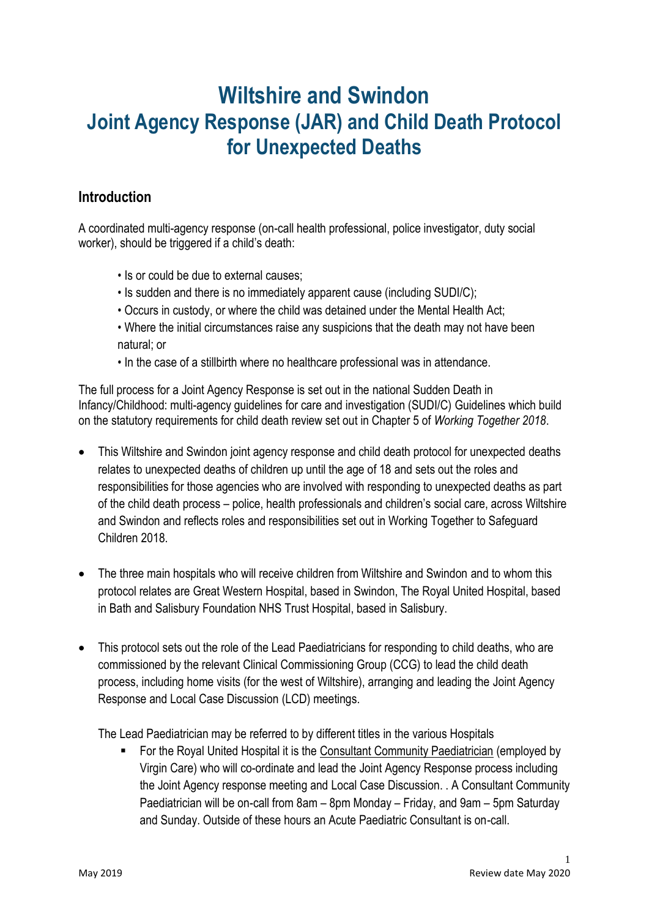# **Wiltshire and Swindon Joint Agency Response (JAR) and Child Death Protocol for Unexpected Deaths**

## **Introduction**

A coordinated multi-agency response (on-call health professional, police investigator, duty social worker), should be triggered if a child's death:

- Is or could be due to external causes;
- Is sudden and there is no immediately apparent cause (including SUDI/C);
- Occurs in custody, or where the child was detained under the Mental Health Act;
- Where the initial circumstances raise any suspicions that the death may not have been natural; or
- In the case of a stillbirth where no healthcare professional was in attendance.

The full process for a Joint Agency Response is set out in the national Sudden Death in Infancy/Childhood: multi-agency guidelines for care and investigation (SUDI/C) Guidelines which build on the statutory requirements for child death review set out in Chapter 5 of *Working Together 2018*.

- This Wiltshire and Swindon joint agency response and child death protocol for unexpected deaths relates to unexpected deaths of children up until the age of 18 and sets out the roles and responsibilities for those agencies who are involved with responding to unexpected deaths as part of the child death process – police, health professionals and children's social care, across Wiltshire and Swindon and reflects roles and responsibilities set out in Working Together to Safeguard Children 2018.
- The three main hospitals who will receive children from Wiltshire and Swindon and to whom this protocol relates are Great Western Hospital, based in Swindon, The Royal United Hospital, based in Bath and Salisbury Foundation NHS Trust Hospital, based in Salisbury.
- This protocol sets out the role of the Lead Paediatricians for responding to child deaths, who are commissioned by the relevant Clinical Commissioning Group (CCG) to lead the child death process, including home visits (for the west of Wiltshire), arranging and leading the Joint Agency Response and Local Case Discussion (LCD) meetings.

The Lead Paediatrician may be referred to by different titles in the various Hospitals

 For the Royal United Hospital it is the Consultant Community Paediatrician (employed by Virgin Care) who will co-ordinate and lead the Joint Agency Response process including the Joint Agency response meeting and Local Case Discussion. . A Consultant Community Paediatrician will be on-call from 8am – 8pm Monday – Friday, and 9am – 5pm Saturday and Sunday. Outside of these hours an Acute Paediatric Consultant is on-call.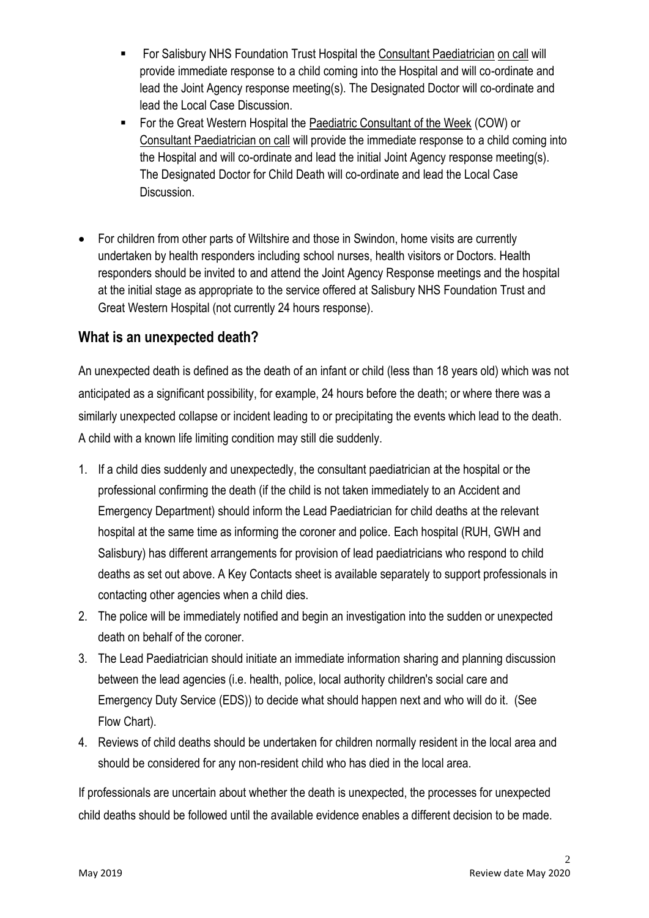- For Salisbury NHS Foundation Trust Hospital the Consultant Paediatrician on call will provide immediate response to a child coming into the Hospital and will co-ordinate and lead the Joint Agency response meeting(s). The Designated Doctor will co-ordinate and lead the Local Case Discussion.
- For the Great Western Hospital the Paediatric Consultant of the Week (COW) or Consultant Paediatrician on call will provide the immediate response to a child coming into the Hospital and will co-ordinate and lead the initial Joint Agency response meeting(s). The Designated Doctor for Child Death will co-ordinate and lead the Local Case Discussion.
- For children from other parts of Wiltshire and those in Swindon, home visits are currently undertaken by health responders including school nurses, health visitors or Doctors. Health responders should be invited to and attend the Joint Agency Response meetings and the hospital at the initial stage as appropriate to the service offered at Salisbury NHS Foundation Trust and Great Western Hospital (not currently 24 hours response).

#### **What is an unexpected death?**

An unexpected death is defined as the death of an infant or child (less than 18 years old) which was not anticipated as a significant possibility, for example, 24 hours before the death; or where there was a similarly unexpected collapse or incident leading to or precipitating the events which lead to the death. A child with a known life limiting condition may still die suddenly.

- 1. If a child dies suddenly and unexpectedly, the consultant paediatrician at the hospital or the professional confirming the death (if the child is not taken immediately to an Accident and Emergency Department) should inform the Lead Paediatrician for child deaths at the relevant hospital at the same time as informing the coroner and police. Each hospital (RUH, GWH and Salisbury) has different arrangements for provision of lead paediatricians who respond to child deaths as set out above. A Key Contacts sheet is available separately to support professionals in contacting other agencies when a child dies.
- 2. The police will be immediately notified and begin an investigation into the sudden or unexpected death on behalf of the coroner.
- 3. The Lead Paediatrician should initiate an immediate information sharing and planning discussion between the lead agencies (i.e. health, police, local authority children's social care and Emergency Duty Service (EDS)) to decide what should happen next and who will do it. (See Flow Chart).
- 4. Reviews of child deaths should be undertaken for children normally resident in the local area and should be considered for any non-resident child who has died in the local area.

If professionals are uncertain about whether the death is unexpected, the processes for unexpected child deaths should be followed until the available evidence enables a different decision to be made.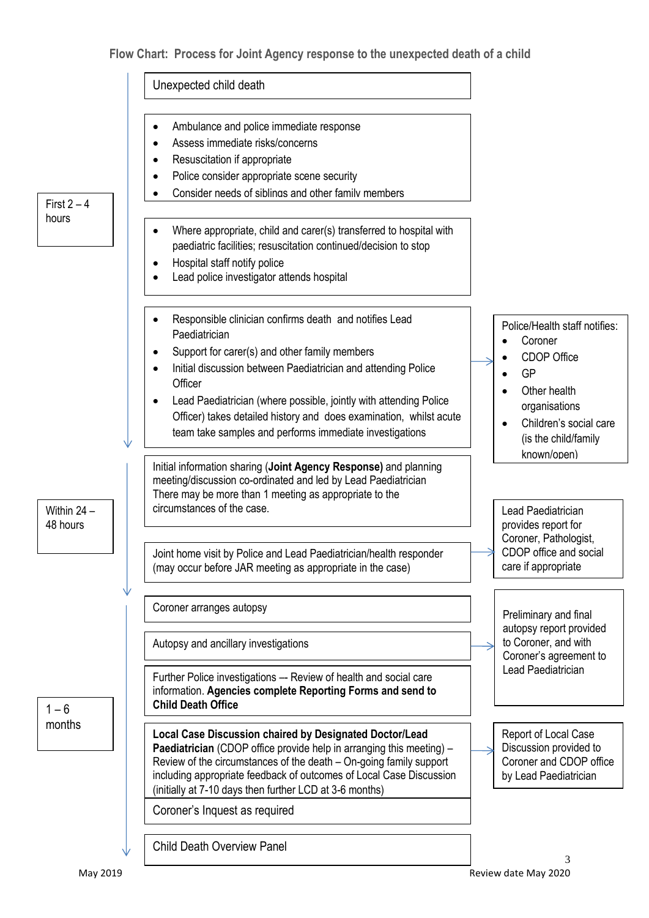#### **Flow Chart: Process for Joint Agency response to the unexpected death of a child**

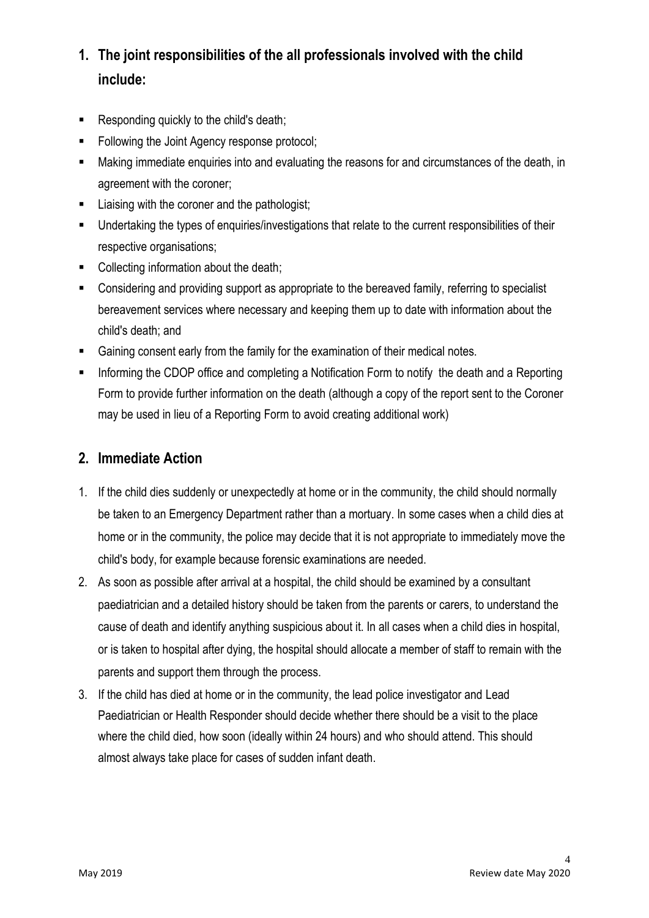## **1. The joint responsibilities of the all professionals involved with the child include:**

- Responding quickly to the child's death;
- Following the Joint Agency response protocol;
- Making immediate enquiries into and evaluating the reasons for and circumstances of the death, in agreement with the coroner;
- Liaising with the coroner and the pathologist;
- Undertaking the types of enquiries/investigations that relate to the current responsibilities of their respective organisations;
- Collecting information about the death;
- Considering and providing support as appropriate to the bereaved family, referring to specialist bereavement services where necessary and keeping them up to date with information about the child's death; and
- Gaining consent early from the family for the examination of their medical notes.
- **Informing the CDOP office and completing a Notification Form to notify the death and a Reporting** Form to provide further information on the death (although a copy of the report sent to the Coroner may be used in lieu of a Reporting Form to avoid creating additional work)

#### **2. Immediate Action**

- 1. If the child dies suddenly or unexpectedly at home or in the community, the child should normally be taken to an Emergency Department rather than a mortuary. In some cases when a child dies at home or in the community, the police may decide that it is not appropriate to immediately move the child's body, for example because forensic examinations are needed.
- 2. As soon as possible after arrival at a hospital, the child should be examined by a consultant paediatrician and a detailed history should be taken from the parents or carers, to understand the cause of death and identify anything suspicious about it. In all cases when a child dies in hospital, or is taken to hospital after dying, the hospital should allocate a member of staff to remain with the parents and support them through the process.
- 3. If the child has died at home or in the community, the lead police investigator and Lead Paediatrician or Health Responder should decide whether there should be a visit to the place where the child died, how soon (ideally within 24 hours) and who should attend. This should almost always take place for cases of sudden infant death.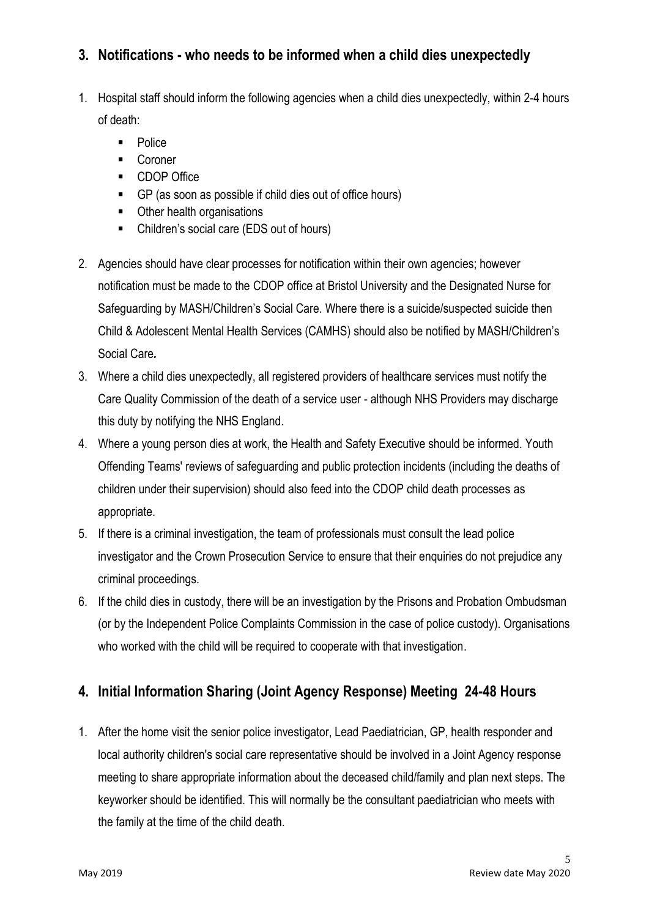## **3. Notifications - who needs to be informed when a child dies unexpectedly**

- 1. Hospital staff should inform the following agencies when a child dies unexpectedly, within 2-4 hours of death:
	- **Police**
	- **Coroner**
	- **CDOP Office**
	- GP (as soon as possible if child dies out of office hours)
	- Other health organisations
	- Children's social care (EDS out of hours)
- 2. Agencies should have clear processes for notification within their own agencies; however notification must be made to the CDOP office at Bristol University and the Designated Nurse for Safeguarding by MASH/Children's Social Care. Where there is a suicide/suspected suicide then Child & Adolescent Mental Health Services (CAMHS) should also be notified by MASH/Children's Social Care*.*
- 3. Where a child dies unexpectedly, all registered providers of healthcare services must notify the Care Quality Commission of the death of a service user - although NHS Providers may discharge this duty by notifying the NHS England.
- 4. Where a young person dies at work, the Health and Safety Executive should be informed. Youth Offending Teams' reviews of safeguarding and public protection incidents (including the deaths of children under their supervision) should also feed into the CDOP child death processes as appropriate.
- 5. If there is a criminal investigation, the team of professionals must consult the lead police investigator and the Crown Prosecution Service to ensure that their enquiries do not prejudice any criminal proceedings.
- 6. If the child dies in custody, there will be an investigation by the Prisons and Probation Ombudsman (or by the Independent Police Complaints Commission in the case of police custody). Organisations who worked with the child will be required to cooperate with that investigation.

## **4. Initial Information Sharing (Joint Agency Response) Meeting 24-48 Hours**

1. After the home visit the senior police investigator, Lead Paediatrician, GP, health responder and local authority children's social care representative should be involved in a Joint Agency response meeting to share appropriate information about the deceased child/family and plan next steps. The keyworker should be identified. This will normally be the consultant paediatrician who meets with the family at the time of the child death.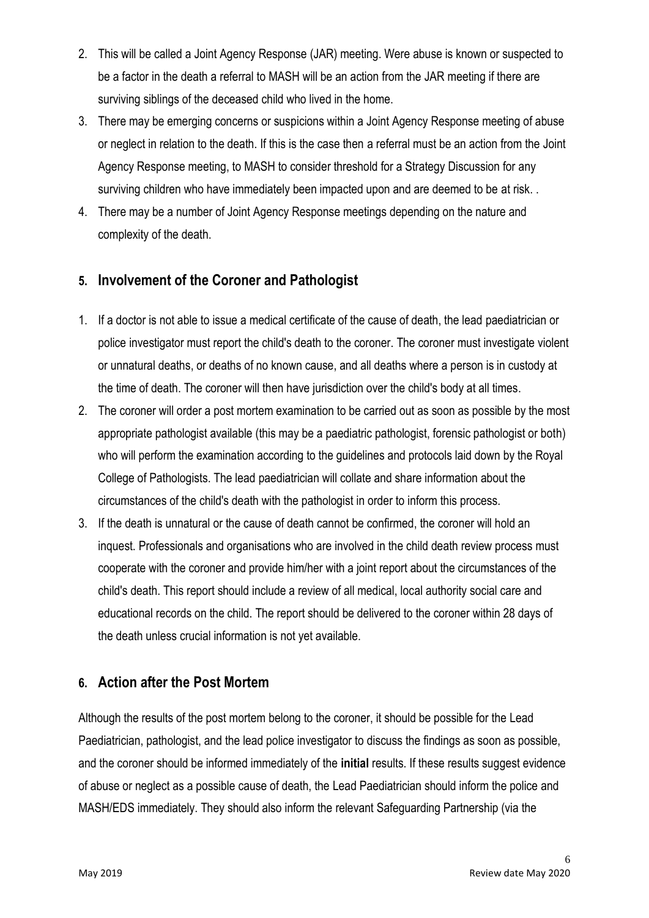- 2. This will be called a Joint Agency Response (JAR) meeting. Were abuse is known or suspected to be a factor in the death a referral to MASH will be an action from the JAR meeting if there are surviving siblings of the deceased child who lived in the home.
- 3. There may be emerging concerns or suspicions within a Joint Agency Response meeting of abuse or neglect in relation to the death. If this is the case then a referral must be an action from the Joint Agency Response meeting, to MASH to consider threshold for a Strategy Discussion for any surviving children who have immediately been impacted upon and are deemed to be at risk. .
- 4. There may be a number of Joint Agency Response meetings depending on the nature and complexity of the death.

## **5. Involvement of the Coroner and Pathologist**

- 1. If a doctor is not able to issue a medical certificate of the cause of death, the lead paediatrician or police investigator must report the child's death to the coroner. The coroner must investigate violent or unnatural deaths, or deaths of no known cause, and all deaths where a person is in custody at the time of death. The coroner will then have jurisdiction over the child's body at all times.
- 2. The coroner will order a post mortem examination to be carried out as soon as possible by the most appropriate pathologist available (this may be a paediatric pathologist, forensic pathologist or both) who will perform the examination according to the guidelines and protocols laid down by the Royal College of Pathologists. The lead paediatrician will collate and share information about the circumstances of the child's death with the pathologist in order to inform this process.
- 3. If the death is unnatural or the cause of death cannot be confirmed, the coroner will hold an inquest. Professionals and organisations who are involved in the child death review process must cooperate with the coroner and provide him/her with a joint report about the circumstances of the child's death. This report should include a review of all medical, local authority social care and educational records on the child. The report should be delivered to the coroner within 28 days of the death unless crucial information is not yet available.

#### **6. Action after the Post Mortem**

Although the results of the post mortem belong to the coroner, it should be possible for the Lead Paediatrician, pathologist, and the lead police investigator to discuss the findings as soon as possible, and the coroner should be informed immediately of the **initial** results. If these results suggest evidence of abuse or neglect as a possible cause of death, the Lead Paediatrician should inform the police and MASH/EDS immediately. They should also inform the relevant Safeguarding Partnership (via the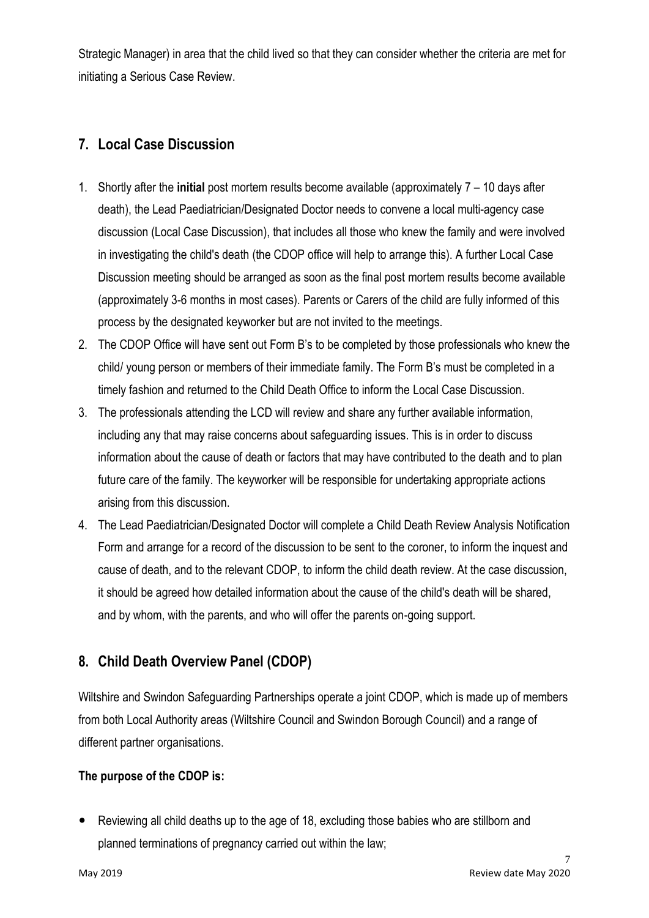Strategic Manager) in area that the child lived so that they can consider whether the criteria are met for initiating a Serious Case Review.

## **7. Local Case Discussion**

- 1. Shortly after the **initial** post mortem results become available (approximately 7 10 days after death), the Lead Paediatrician/Designated Doctor needs to convene a local multi-agency case discussion (Local Case Discussion), that includes all those who knew the family and were involved in investigating the child's death (the CDOP office will help to arrange this). A further Local Case Discussion meeting should be arranged as soon as the final post mortem results become available (approximately 3-6 months in most cases). Parents or Carers of the child are fully informed of this process by the designated keyworker but are not invited to the meetings.
- 2. The CDOP Office will have sent out Form B's to be completed by those professionals who knew the child/ young person or members of their immediate family. The Form B's must be completed in a timely fashion and returned to the Child Death Office to inform the Local Case Discussion.
- 3. The professionals attending the LCD will review and share any further available information, including any that may raise concerns about safeguarding issues. This is in order to discuss information about the cause of death or factors that may have contributed to the death and to plan future care of the family. The keyworker will be responsible for undertaking appropriate actions arising from this discussion.
- 4. The Lead Paediatrician/Designated Doctor will complete a Child Death Review Analysis Notification Form and arrange for a record of the discussion to be sent to the coroner, to inform the inquest and cause of death, and to the relevant CDOP, to inform the child death review. At the case discussion, it should be agreed how detailed information about the cause of the child's death will be shared, and by whom, with the parents, and who will offer the parents on-going support.

## **8. Child Death Overview Panel (CDOP)**

Wiltshire and Swindon Safeguarding Partnerships operate a joint CDOP, which is made up of members from both Local Authority areas (Wiltshire Council and Swindon Borough Council) and a range of different partner organisations.

#### **The purpose of the CDOP is:**

 Reviewing all child deaths up to the age of 18, excluding those babies who are stillborn and planned terminations of pregnancy carried out within the law;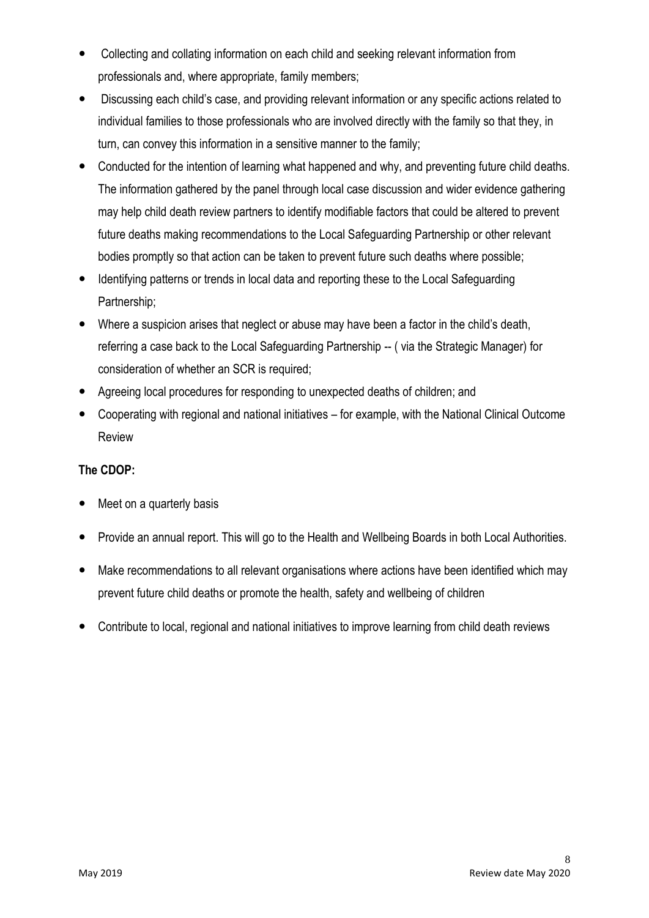- Collecting and collating information on each child and seeking relevant information from professionals and, where appropriate, family members;
- Discussing each child's case, and providing relevant information or any specific actions related to individual families to those professionals who are involved directly with the family so that they, in turn, can convey this information in a sensitive manner to the family;
- Conducted for the intention of learning what happened and why, and preventing future child deaths. The information gathered by the panel through local case discussion and wider evidence gathering may help child death review partners to identify modifiable factors that could be altered to prevent future deaths making recommendations to the Local Safeguarding Partnership or other relevant bodies promptly so that action can be taken to prevent future such deaths where possible;
- Identifying patterns or trends in local data and reporting these to the Local Safeguarding Partnership;
- Where a suspicion arises that neglect or abuse may have been a factor in the child's death, referring a case back to the Local Safeguarding Partnership -- ( via the Strategic Manager) for consideration of whether an SCR is required;
- Agreeing local procedures for responding to unexpected deaths of children; and
- Cooperating with regional and national initiatives for example, with the National Clinical Outcome Review

#### **The CDOP:**

- Meet on a quarterly basis
- Provide an annual report. This will go to the Health and Wellbeing Boards in both Local Authorities.
- Make recommendations to all relevant organisations where actions have been identified which may prevent future child deaths or promote the health, safety and wellbeing of children
- Contribute to local, regional and national initiatives to improve learning from child death reviews